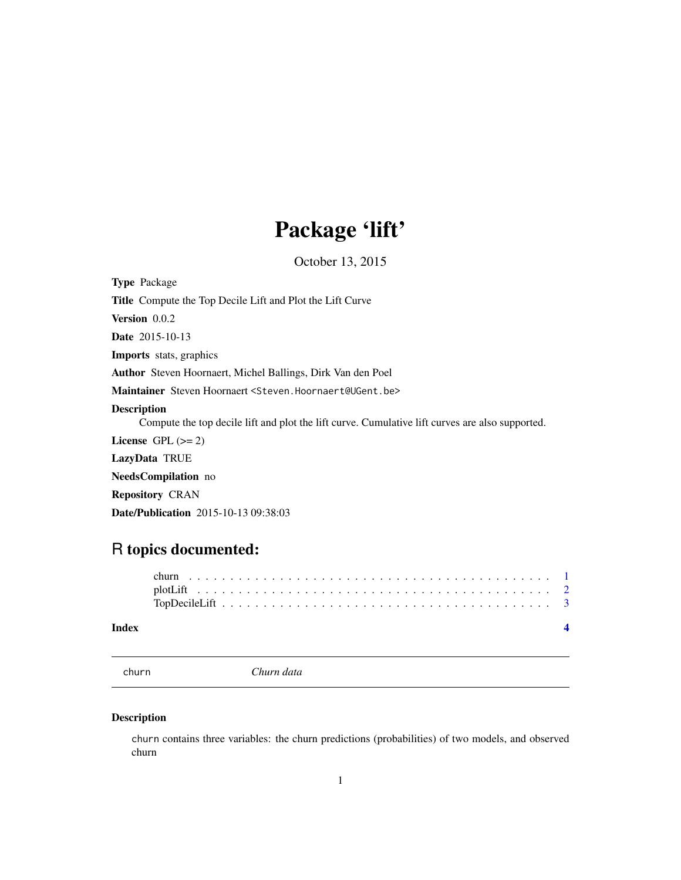## Package 'lift'

October 13, 2015

<span id="page-0-0"></span>Type Package

Title Compute the Top Decile Lift and Plot the Lift Curve

Version 0.0.2

Date 2015-10-13

Imports stats, graphics

Author Steven Hoornaert, Michel Ballings, Dirk Van den Poel

Maintainer Steven Hoornaert <Steven.Hoornaert@UGent.be>

#### Description

Compute the top decile lift and plot the lift curve. Cumulative lift curves are also supported.

License GPL  $(>= 2)$ 

LazyData TRUE

NeedsCompilation no

Repository CRAN

Date/Publication 2015-10-13 09:38:03

### R topics documented:

#### **Index** [4](#page-3-0)

churn *Churn data*

#### Description

churn contains three variables: the churn predictions (probabilities) of two models, and observed churn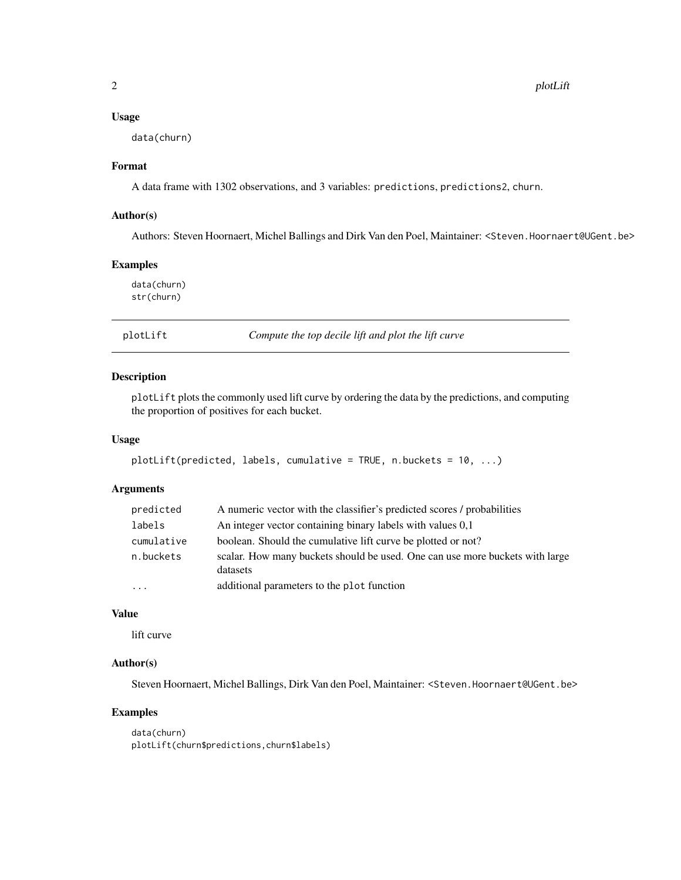#### <span id="page-1-0"></span>Usage

data(churn)

#### Format

A data frame with 1302 observations, and 3 variables: predictions, predictions2, churn.

#### Author(s)

Authors: Steven Hoornaert, Michel Ballings and Dirk Van den Poel, Maintainer: <Steven.Hoornaert@UGent.be>

#### Examples

data(churn) str(churn)

plotLift *Compute the top decile lift and plot the lift curve*

#### Description

plotLift plots the commonly used lift curve by ordering the data by the predictions, and computing the proportion of positives for each bucket.

#### Usage

```
plotLift(predicted, labels, cumulative = TRUE, n.buckets = 10, ...)
```
#### Arguments

| predicted               | A numeric vector with the classifier's predicted scores / probabilities                  |
|-------------------------|------------------------------------------------------------------------------------------|
| labels                  | An integer vector containing binary labels with values 0.1                               |
| cumulative              | boolean. Should the cumulative lift curve be plotted or not?                             |
| n.buckets               | scalar. How many buckets should be used. One can use more buckets with large<br>datasets |
| $\cdot$ $\cdot$ $\cdot$ | additional parameters to the plot function                                               |

#### Value

lift curve

#### Author(s)

Steven Hoornaert, Michel Ballings, Dirk Van den Poel, Maintainer: <Steven.Hoornaert@UGent.be>

#### Examples

```
data(churn)
plotLift(churn$predictions,churn$labels)
```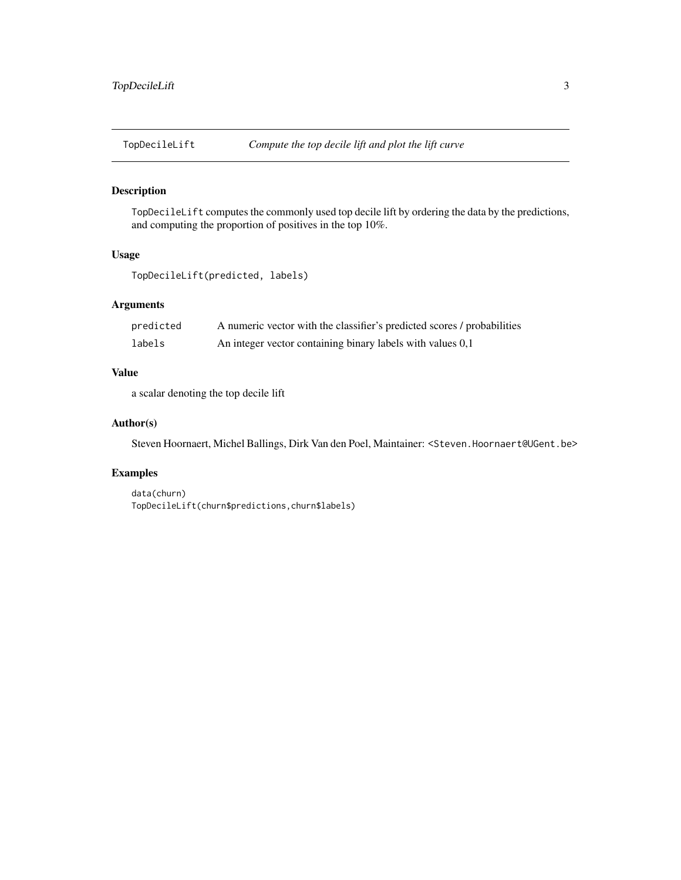<span id="page-2-0"></span>

#### Description

TopDecileLift computes the commonly used top decile lift by ordering the data by the predictions, and computing the proportion of positives in the top 10%.

#### Usage

TopDecileLift(predicted, labels)

#### Arguments

| predicted | A numeric vector with the classifier's predicted scores / probabilities |
|-----------|-------------------------------------------------------------------------|
| labels    | An integer vector containing binary labels with values 0,1              |

#### Value

a scalar denoting the top decile lift

#### Author(s)

Steven Hoornaert, Michel Ballings, Dirk Van den Poel, Maintainer: <Steven.Hoornaert@UGent.be>

#### Examples

```
data(churn)
TopDecileLift(churn$predictions,churn$labels)
```